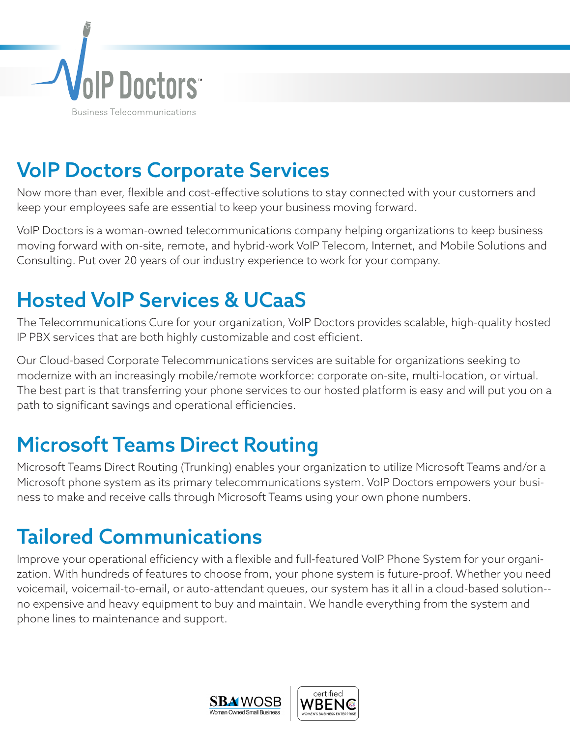

## VoIP Doctors Corporate Services

Now more than ever, flexible and cost-effective solutions to stay connected with your customers and keep your employees safe are essential to keep your business moving forward.

VoIP Doctors is a woman-owned telecommunications company helping organizations to keep business moving forward with on-site, remote, and hybrid-work VoIP Telecom, Internet, and Mobile Solutions and Consulting. Put over 20 years of our industry experience to work for your company.

#### Hosted VoIP Services & UCaaS

The Telecommunications Cure for your organization, VoIP Doctors provides scalable, high-quality hosted IP PBX services that are both highly customizable and cost efficient.

Our Cloud-based Corporate Telecommunications services are suitable for organizations seeking to modernize with an increasingly mobile/remote workforce: corporate on-site, multi-location, or virtual. The best part is that transferring your phone services to our hosted platform is easy and will put you on a path to significant savings and operational efficiencies.

# Microsoft Teams Direct Routing

Microsoft Teams Direct Routing (Trunking) enables your organization to utilize Microsoft Teams and/or a Microsoft phone system as its primary telecommunications system. VoIP Doctors empowers your business to make and receive calls through Microsoft Teams using your own phone numbers.

# Tailored Communications

Improve your operational efficiency with a flexible and full-featured VoIP Phone System for your organization. With hundreds of features to choose from, your phone system is future-proof. Whether you need voicemail, voicemail-to-email, or auto-attendant queues, our system has it all in a cloud-based solution- no expensive and heavy equipment to buy and maintain. We handle everything from the system and phone lines to maintenance and support.